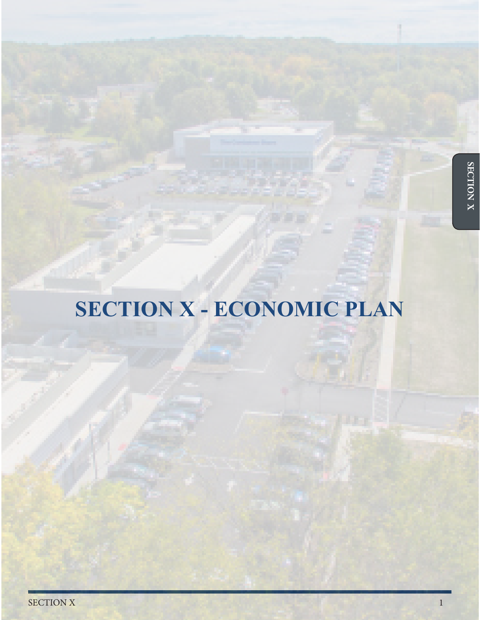## **SECTION X - ECONOMIC PLAN**

SECTION X **SECTION X**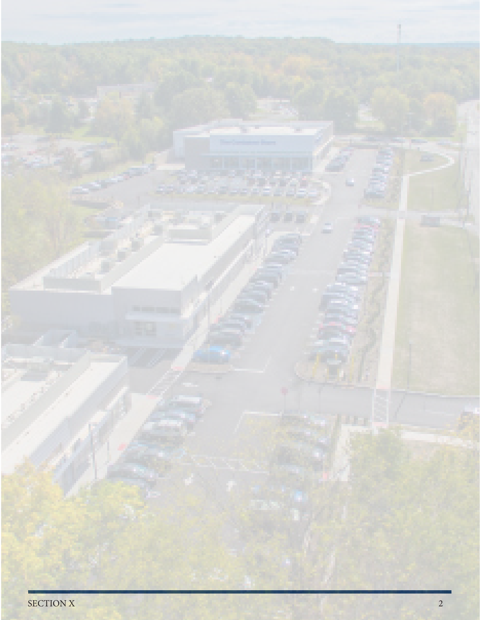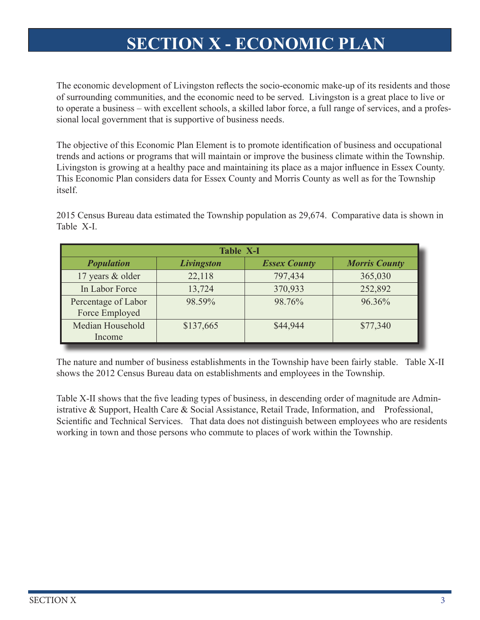## **SECTION X - ECONOMIC PLAN**

The economic development of Livingston reflects the socio-economic make-up of its residents and those of surrounding communities, and the economic need to be served. Livingston is a great place to live or to operate a business – with excellent schools, a skilled labor force, a full range of services, and a professional local government that is supportive of business needs.

The objective of this Economic Plan Element is to promote identification of business and occupational trends and actions or programs that will maintain or improve the business climate within the Township. Livingston is growing at a healthy pace and maintaining its place as a major influence in Essex County. This Economic Plan considers data for Essex County and Morris County as well as for the Township itself.

2015 Census Bureau data estimated the Township population as 29,674. Comparative data is shown in Table X-I.

| <b>Table X-I</b>                      |                   |                     |                      |  |
|---------------------------------------|-------------------|---------------------|----------------------|--|
| <b>Population</b>                     | <b>Livingston</b> | <b>Essex County</b> | <b>Morris County</b> |  |
| 17 years & older                      | 22,118            | 797,434             | 365,030              |  |
| In Labor Force                        | 13,724            | 370,933             | 252,892              |  |
| Percentage of Labor<br>Force Employed | 98.59%            | 98.76%              | 96.36%               |  |
| Median Household<br>Income            | \$137,665         | \$44,944            | \$77,340             |  |

The nature and number of business establishments in the Township have been fairly stable. Table X-II shows the 2012 Census Bureau data on establishments and employees in the Township.

Table X-II shows that the five leading types of business, in descending order of magnitude are Administrative & Support, Health Care & Social Assistance, Retail Trade, Information, and Professional, Scientific and Technical Services. That data does not distinguish between employees who are residents working in town and those persons who commute to places of work within the Township.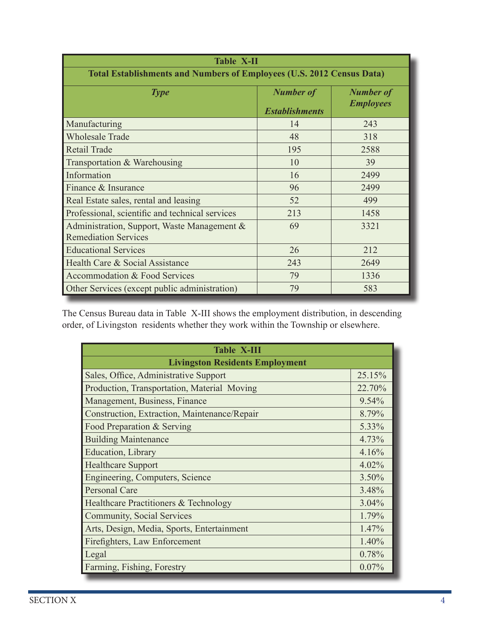| <b>Table X-II</b>                                                            |                       |                  |  |  |
|------------------------------------------------------------------------------|-----------------------|------------------|--|--|
| <b>Total Establishments and Numbers of Employees (U.S. 2012 Census Data)</b> |                       |                  |  |  |
| <b>Type</b>                                                                  | <b>Number of</b>      | <b>Number of</b> |  |  |
|                                                                              | <b>Establishments</b> | <b>Employees</b> |  |  |
| Manufacturing                                                                | 14                    | 243              |  |  |
| <b>Wholesale Trade</b>                                                       | 48                    | 318              |  |  |
| <b>Retail Trade</b>                                                          | 195                   | 2588             |  |  |
| Transportation & Warehousing                                                 | 10                    | 39               |  |  |
| Information                                                                  | 16                    | 2499             |  |  |
| Finance & Insurance                                                          | 96                    | 2499             |  |  |
| Real Estate sales, rental and leasing                                        | 52                    | 499              |  |  |
| Professional, scientific and technical services                              | 213                   | 1458             |  |  |
| Administration, Support, Waste Management &<br><b>Remediation Services</b>   | 69                    | 3321             |  |  |
| <b>Educational Services</b>                                                  | 26                    | 212              |  |  |
| Health Care & Social Assistance                                              | 243                   | 2649             |  |  |
| Accommodation & Food Services                                                | 79                    | 1336             |  |  |
| Other Services (except public administration)                                | 79                    | 583              |  |  |

The Census Bureau data in Table X-III shows the employment distribution, in descending order, of Livingston residents whether they work within the Township or elsewhere.

| <b>Table X-III</b>                               |        |  |  |
|--------------------------------------------------|--------|--|--|
| <b>Livingston Residents Employment</b>           |        |  |  |
| Sales, Office, Administrative Support            | 25.15% |  |  |
| Production, Transportation, Material Moving      | 22.70% |  |  |
| Management, Business, Finance                    | 9.54%  |  |  |
| Construction, Extraction, Maintenance/Repair     | 8.79%  |  |  |
| Food Preparation & Serving                       | 5.33%  |  |  |
| <b>Building Maintenance</b>                      | 4.73%  |  |  |
| <b>Education</b> , Library                       | 4.16%  |  |  |
| <b>Healthcare Support</b>                        | 4.02%  |  |  |
| Engineering, Computers, Science                  | 3.50%  |  |  |
| <b>Personal Care</b>                             | 3.48%  |  |  |
| <b>Healthcare Practitioners &amp; Technology</b> | 3.04%  |  |  |
| <b>Community, Social Services</b>                | 1.79%  |  |  |
| Arts, Design, Media, Sports, Entertainment       | 1.47%  |  |  |
| Firefighters, Law Enforcement                    | 1.40%  |  |  |
| Legal                                            | 0.78%  |  |  |
| Farming, Fishing, Forestry                       |        |  |  |